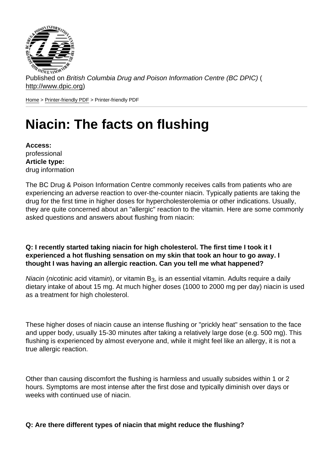Published on British Columbia Drug and Poison Information Centre (BC DPIC) ( http://www.dpic.org)

Home > Printer-friendly PDF > Printer-friendly PDF

# [Ni](http://www.dpic.org/)[acin: The](http://www.dpic.org/printpdf) facts on flushing

Access: professional Article type: drug information

The BC Drug & Poison Information Centre commonly receives calls from patients who are experiencing an adverse reaction to over-the-counter niacin. Typically patients are taking the drug for the first time in higher doses for hypercholesterolemia or other indications. Usually, they are quite concerned about an "allergic" reaction to the vitamin. Here are some commonly asked questions and answers about flushing from niacin:

Q: I recently started taking niacin for high cholesterol. The first time I took it I experienced a hot flushing sensation on my skin that took an hour to go away. I thought I was having an allergic reaction. Can you tell me what happened?

Niacin (nicotinic acid vitamin), or vitamin  $B_3$ , is an essential vitamin. Adults require a daily dietary intake of about 15 mg. At much higher doses (1000 to 2000 mg per day) niacin is used as a treatment for high cholesterol.

These higher doses of niacin cause an intense flushing or "prickly heat" sensation to the face and upper body, usually 15-30 minutes after taking a relatively large dose (e.g. 500 mg). This flushing is experienced by almost everyone and, while it might feel like an allergy, it is not a true allergic reaction.

Other than causing discomfort the flushing is harmless and usually subsides within 1 or 2 hours. Symptoms are most intense after the first dose and typically diminish over days or weeks with continued use of niacin.

Q: Are there different types of niacin that might reduce the flushing?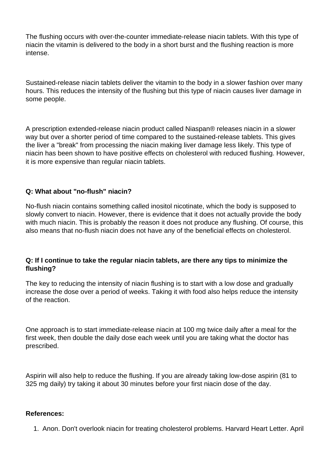The flushing occurs with over-the-counter immediate-release niacin tablets. With this type of niacin the vitamin is delivered to the body in a short burst and the flushing reaction is more intense.

Sustained-release niacin tablets deliver the vitamin to the body in a slower fashion over many hours. This reduces the intensity of the flushing but this type of niacin causes liver damage in some people.

A prescription extended-release niacin product called Niaspan® releases niacin in a slower way but over a shorter period of time compared to the sustained-release tablets. This gives the liver a "break" from processing the niacin making liver damage less likely. This type of niacin has been shown to have positive effects on cholesterol with reduced flushing. However, it is more expensive than regular niacin tablets.

# **Q: What about "no-flush" niacin?**

No-flush niacin contains something called inositol nicotinate, which the body is supposed to slowly convert to niacin. However, there is evidence that it does not actually provide the body with much niacin. This is probably the reason it does not produce any flushing. Of course, this also means that no-flush niacin does not have any of the beneficial effects on cholesterol.

### **Q: If I continue to take the regular niacin tablets, are there any tips to minimize the flushing?**

The key to reducing the intensity of niacin flushing is to start with a low dose and gradually increase the dose over a period of weeks. Taking it with food also helps reduce the intensity of the reaction.

One approach is to start immediate-release niacin at 100 mg twice daily after a meal for the first week, then double the daily dose each week until you are taking what the doctor has prescribed.

Aspirin will also help to reduce the flushing. If you are already taking low-dose aspirin (81 to 325 mg daily) try taking it about 30 minutes before your first niacin dose of the day.

#### **References:**

1. Anon. Don't overlook niacin for treating cholesterol problems. Harvard Heart Letter. April